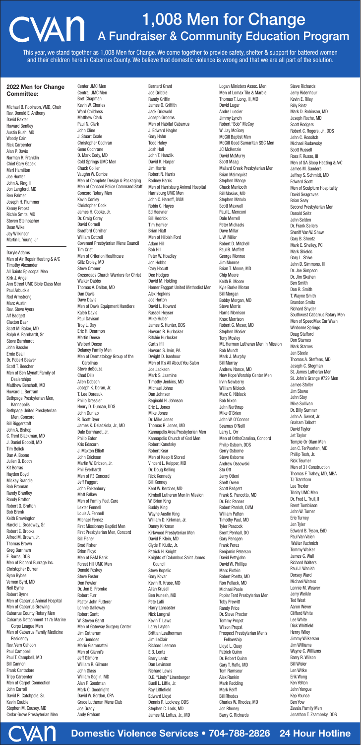### Domestic Violence Services • 704-788-2826 24 Hour Hotline

#### 2022 Men for Change Committee:

Michael B. Robinson, VMD, Chair Rev. Donald E. Anthony David Baxter Howard Bentley Austin Bush, MD Woody Cain Rick Carpenter Alan P. Davis Norman R. Franklin Chief Gary Gacek Merl Hamilton Joe Hunter John A. King, II Jon Langford, MD Ben Palmer Joseph H. Plummer Kenny Propst Richie Smits, MD Steven Steinbacher Dean Wike Jay Wilkinson Martin L. Young, Jr.

Daryle Adams Men of Air Repair Heating &A/C Timothy Alexander All Saints Episcopal Men Kirk J. Angel Ann Street UMC Bible Class Men Paul Arbuckle Rod Armstrong Marc Austin Rev. Steve Ayers Alf Badgett Claxton Baer Scott M. Baker, MD Ralph A. Barnhardt, Sr. Steve Barnhardt John Bassler Ernie Beall Dr. Robert Beaver Scott T. Beecher Men of Ben Mynatt Family of Dealerships Matthew Benshoff, MD Howard L. Bertram Bethpage Presbyterian Men, Kannapolis Bethpage United Presbyterian Men, Concord Bill Biggerstaff John A. Bishop C. Trent Blackman, MD J. Daniel Bobbitt, MD Tim Bolick Dan A. Boone Julien B. Booth Kit Borras Hayden Boyd Mickey Brandle Bob Brannan Randy Brantley Randy Bratton Robert O. Bratton Bob Brenk Keith Brewington Harold L. Broadway, Sr. Robert E. Brooks Alfred M. Brown, Jr. Thomas Brown Greg Burnham E. Burns, DDS Men of Richard Burrage Inc. Christopher Burren Ryan Bybee Vernon Byrd, MD Neil Byrne Robert Byrne Men of Cabarrus Animal Hospital Men of Cabarrus Brewing Cabarrus County Rotary Men Cabarrus Detachment 1175 Marine Corps League Men Men of Cabarrus Family Medicine Residency Rev. Vern Cahoon Paul Campbell Paul T. Campbell, MD Bill Cannon Frank Cantadore Tripp Carpenter Men of Carpet Connection John Carroll David R. Catchpole, Sr. Kevin Cauble Stephen M. Causey, MD Cedar Grove Presbyterian Men

Center UMC Men

Central UMC Men Bret Chapman Kevin W. Charles Ward Childress Matthew Clark Paul N. Clark<br>John Cline JUIIII CIIIIE J. Stuart Coale Christopher Cochran Gene Cochrane D. Mark Cody, MD Cold Springs UMC Men Chuck Collier Vaughn W. Combs Men of Complete Design & Packaging Men of Concord Police Command Staff Concord Rotary Men Kevin Conley Christopher Cook James H. Cooke, Jr. Dr. Craig Corey David Cornell Bradford Corriher William Cottrell Covenant Presbyterian Mens Council Tim Crist Men of Criterion Healthcare Giltz Croley, MD Steve Cromer Crossroads Church Warriors for Christ Walker Dabbs Thomas A. Dalton, MD Dan Davis Dave Davis Men of Davis Equipment Handlers Kaleb Davis Paul Davison Troy L. Day Eric H. Dearmon Martin Deese Welbert Deese Delaney Family Men Men of Dermatology Group of the Carolinas Steve deSouza Chad Dills Allen Dobson Joseph K. Doran, Jr. T. Lee Doreauk Philip Dressler Henry D. Duncan, DDS John Dunlap R. Scott Dyer James K. Dziadziola, Jr., MD Dale Earnhardt, Jr. Philip Eaton Kris Edscorn J. Maxton Elliott John Erickson Martin W. Ericson, Jr. Phil Everhardt Men of F3 Concord Jeff Faggart John Falkenbury Matt Fallaw Men of Family Foot Care Lexter Fennell Louis A. Fennell Michael Fernez First Missionary Baptist Men First Presbyterian Men, Concord Bill Fisher Brad Fisher Brian Floyd Men of F&M Bank Forest Hill UMC Men Donald Foskey Steve Foster Don Fowler Dr. Jon E. Fromke RODUCTURE Pastor John Futterer Lonnie Galloway Robert Gantt W. Steven Gantt Men of Gateway Surgery Center Jim Gatherum Joe Gendoes Mario Giammattei Men of Gianni's Jeff Gilmore William R. Gilmore John Glass William Goglin, MD Alan F. Goodman Mark C. Goodnight David W. Gordon, CPA Grace Lutheran Mens Club Joe Grady Andy Graham

Bernard Grant Joe Gribble Randy Griffin James O. Griffith Jack Griswold Joseph Grooms Men of Habitat Cabarrus J. Edward Hagler Gary Hahn Todd Haley Josh Hall John T. Hanzlik David K. Harper Jim Harris Robert N. Harris Rodney Harris Men of Harrisburg Animal Hospital Harrisburg UMC Men John C. Harroff, DVM Robin C. Hayes Ed Heavner Bill Hedrick Tim Hemler Brian Hiatt Men of Hilbish Ford Adam Hill **BOD HILL** Peter W. Hoadley Jon Hobbs Cary Hocutt Dee Hodges David M. Holding Homer Faggart United Methodist Men Alex Hopkins Joe Horton David L. Howard Russell Hoyser Mike Huber James S. Hunter, DDS Howard R. Hurlocker Ritchie Hurlocker Curtis Ifill Howard S. Irvin, PA Dwight D. Isenhour Men of It's All About You Salon Joe Jackson Mark S. Jasmine Timothy Jenkins, MD Michael Johns Dan Johnson Reginald H. Johnson Eric L. Jones Mike Jones Dr. Mike Jones Thomas R. Jones, MD Kannapolis Area Presbyterian Men Kannapolis Church of God Men Robert Kanofsky Robert Kear Men of Keep It Stored Vincent L. Keipper, MD Dr. Doug Kelling Rick Kennedy Bill Kenney Kent W. Kercher, MD Kimball Lutheran Men In Mission W. Brian King Buddy King Wayne Austin King William D. Kirkman, Jr. Danny Kirkman Kirkwood Presbyterian Men David F. Klein, MD Clyde F. Kluttz, Jr. Patrick H. Knight Knights of Columbus Saint James Council Steve Kopelic Gary Kovar Kevin R. Kruse, MD Allan Krusell Ben Kunesh, MD Pete Lalli Harry Lancaster Nick Langrall Kevin T. Laws Larry Layton Brittian Leatherman Jim LeClair Richard Leeman E.B. Lentz Barry Lentz Dan Levinson Richard Lewis D.E. "Lindy" Linenberger Buell L. Little, Jr. Ray Littlefield Edward Lloyd Dennis R. Lockney, DDS Stephen C. Lods, MD James M. Loftus, Jr., MD

Logan Ministers Assoc. Men Men of Lomax Tile & Marble Thomas T. Long, III, MD David Lugar Andre Lussier Jimmy Lynch Robert "Bob" McCoy W. Jay McGary McGill Baptist Men McGill Good Samaritan SSC Men JC McKenzie David McMurry Scott Maag Mallard Creek Presbyterian Men Brian Malmquist Stephen Mange Chuck Mantooth Bill Masius, MD Stephen Matula Scott Maxwell Paul L. Menconi Dale Merrell Peter Michaels Dave Millar L.W. Miller Robert D. Mitchell Paul B. Moffett George Monroe Jim Monroe Brian T. Moore, MD Chip Moore Keith R. Moore Kyle Burke Moran Bill Morgan Bobby Morgan, MD Steve Morris Harris Morrison Knox Morrison Robert G. Moser, MD Stephen Mosier Tony Mosley Mt. Hermon Lutheran Men In Mission Rob Mundt Mark J. Murphy Bill Murray Andrew Nance, MD New Hope Worship Center Men Irvin Newberry William Niblock Marc C. Niblock Bob Nixon John Northrup Mike O'Brien John W. O'Connor Seamus O'Neill Larry L. Orr Men of OrthoCarolina, Concord Philip Osborn, DDS Gerry Osborne Steve Osborne Andrew Ossowski Stu Ott Jerry Otteni Sheff Owen Scott Padgett Frank S. Pancotto, MD Dr. Eric Panner Robert Parrish, DVM William Patten Timothy Paul, MD Tyler Peacock Brent Penhall, DO Gary Pensgen Frank Perez Benjamin Peterson David Pettyjohn David W. Phillips Marc Plotkin Robert Poetta, MD Ron Pollack, MD Michael Poole Poplar Tent Presbyterian Men Toby Prewitt Randy Price Dr. Steve Proctor Tommy Propst Wilson Propst Prospect Presbyterian Men's Fellowship Lloyd L. Quay Patrick Quinn Dr. Robert Quinn Gary T. Raflo, MD Tom Ramseur Alex Rankin Mark Redding Mark Reiff Bill Rhodes Charles W. Rhodes, MD Jon Rhoney Barry G. Richards

Steve Richards Jerry Ridenhour Kevin E. Riley Billy Rintz Mark D. Robinson, MD Joseph Roche, MD Scott Rodgers Robert C. Rogers, Jr., DDS John C. Rossitch Michael Rudawsky Scott Russell Ross F. Russo, III Men of SA Sloop Heating &A/C James M. Sanders Jeffrey S. Schmidt, MD Edward Scott Men of Sculpture Hospitality David Seagraves Brian Seay Second Presbyterian Men Donald Seitz John Selden Dr. Frank Sellers Sheriff Van W. Shaw Gary B. Sheetz Mark E. Shelley, PC Mark Shields Gary L. Shive John D. Simmons, III Dr. Joe Simpson Dr. Jim Skahen Ben Smith Don R. Smith T. Wayne Smith Brandon Smits Richard Snyder Southwest Cabarrus Rotary Men Men of SpeedMax Car Wash Winborne Springs Doug Stafford Don Starnes Mark Starnes Jon Steele Thomas A. Steffens, MD Joseph C. Stegman St. James Lutheran Men St. John's Grange #729 Men James Stoller Jim Stowe John Stoy Mike Sullivan Dr. Billy Sumner John A. Sweat, Jr. Graham Talbott David Taylor Jet Taylor Temple Or Olam Men Jon C. TerPoorten, MD Phillip Tesh, Jr. Rick Teumer Men of 31 Construction Thomas F. Trahey, MD, MBA TJ Trantham Lee Trexler Trinity UMC Men Dr. Fred L. Trull, II Brent Tumblison John W. Turner Eric Turney Jon Tyler Edward B. Tyson, EdD Paul Van Valen Walter Vuchnich Tommy Walker James G. Wall Richard Walters Paul J. Wanish Dorsey Ward Michael Waters Lonnie M. Weaver Jerry Weikle Ted West Aaron Wever Clifford White Lee White Dick Whitfield Henry Wiley Jimmy Wilkerson Jim Williams Wayne C. Williams Barry R. Wilson Bill Wisler Len Witke Erik Wong Ken Yelton John Yongue Kep Younce Ben Yow Zavala Family Men Jonathan T. Zsambeky, DDS



# 1,008 Men for Change A Fundraiser & Community Education Program

This year, we stand together as 1,008 Men for Change. We come together to provide safety, shelter & support for battered women and their children here in Cabarrus County. We believe that domestic violence is wrong and that we are all part of the solution.